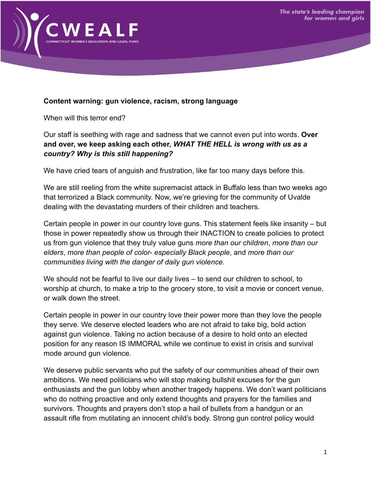

## **Content warning: gun violence, racism, strong language**

When will this terror end?

Our staff is seething with rage and sadness that we cannot even put into words. **Over and over, we keep asking each other,** *WHAT THE HELL is wrong with us as a country? Why is this still happening?*

We have cried tears of anguish and frustration, like far too many days before this.

We are still reeling from the white supremacist attack in Buffalo less than two weeks ago that terrorized a Black community. Now, we're grieving for the community of Uvalde dealing with the devastating murders of their children and teachers.

Certain people in power in our country love guns. This statement feels like insanity – but those in power repeatedly show us through their INACTION to create policies to protect us from gun violence that they truly value guns *more than our children*, *more than our elders*, *more than people of color- especially Black people*, and *more than our communities living with the danger of daily gun violence*.

We should not be fearful to live our daily lives – to send our children to school, to worship at church, to make a trip to the grocery store, to visit a movie or concert venue, or walk down the street.

Certain people in power in our country love their power more than they love the people they serve. We deserve elected leaders who are not afraid to take big, bold action against gun violence. Taking no action because of a desire to hold onto an elected position for any reason IS IMMORAL while we continue to exist in crisis and survival mode around gun violence.

We deserve public servants who put the safety of our communities ahead of their own ambitions. We need politicians who will stop making bullshit excuses for the gun enthusiasts and the gun lobby when another tragedy happens. We don't want politicians who do nothing proactive and only extend thoughts and prayers for the families and survivors. Thoughts and prayers don't stop a hail of bullets from a handgun or an assault rifle from mutilating an innocent child's body. Strong gun control policy would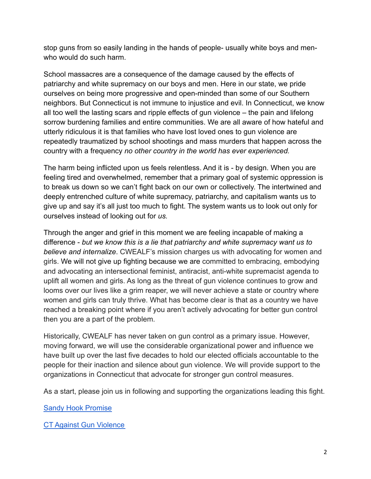stop guns from so easily landing in the hands of people- usually white boys and menwho would do such harm.

School massacres are a consequence of the damage caused by the effects of patriarchy and white supremacy on our boys and men. Here in our state, we pride ourselves on being more progressive and open-minded than some of our Southern neighbors. But Connecticut is not immune to injustice and evil. In Connecticut, we know all too well the lasting scars and ripple effects of gun violence – the pain and lifelong sorrow burdening families and entire communities. We are all aware of how hateful and utterly ridiculous it is that families who have lost loved ones to gun violence are repeatedly traumatized by school shootings and mass murders that happen across the country with a frequency *no other country in the world has ever experienced.*

The harm being inflicted upon us feels relentless. And it is - by design. When you are feeling tired and overwhelmed, remember that a primary goal of systemic oppression is to break us down so we can't fight back on our own or collectively. The intertwined and deeply entrenched culture of white supremacy, patriarchy, and capitalism wants us to give up and say it's all just too much to fight. The system wants us to look out only for ourselves instead of looking out for *us.*

Through the anger and grief in this moment we are feeling incapable of making a difference - *but we know this is a lie that patriarchy and white supremacy want us to believe and internalize*. CWEALF's mission charges us with advocating for women and girls. We will not give up fighting because we are committed to embracing, embodying and advocating an intersectional feminist, antiracist, anti-white supremacist agenda to uplift all women and girls. As long as the threat of gun violence continues to grow and looms over our lives like a grim reaper, we will never achieve a state or country where women and girls can truly thrive. What has become clear is that as a country we have reached a breaking point where if you aren't actively advocating for better gun control then you are a part of the problem.

Historically, CWEALF has never taken on gun control as a primary issue. However, moving forward, we will use the considerable organizational power and influence we have built up over the last five decades to hold our elected officials accountable to the people for their inaction and silence about gun violence. We will provide support to the organizations in Connecticut that advocate for stronger gun control measures.

As a start, please join us in following and supporting the organizations leading this fight.

[Sandy Hook Promise](https://www.sandyhookpromise.org/)

CT [Against Gun Violence](https://cagv.org/)